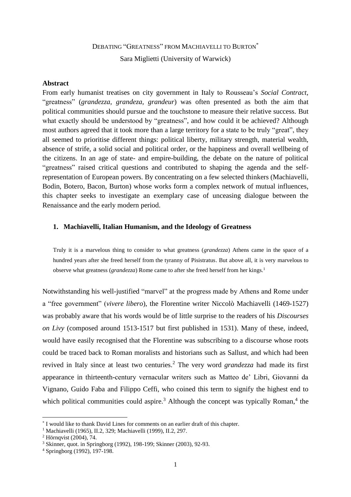# DEBATING "GREATNESS" FROM MACHIAVELLI TO BURTON\* Sara Miglietti (University of Warwick)

# **Abstract**

From early humanist treatises on city government in Italy to Rousseau's *Social Contract*, "greatness" (*grandezza*, *grandeza*, *grandeur*) was often presented as both the aim that political communities should pursue and the touchstone to measure their relative success. But what exactly should be understood by "greatness", and how could it be achieved? Although most authors agreed that it took more than a large territory for a state to be truly "great", they all seemed to prioritise different things: political liberty, military strength, material wealth, absence of strife, a solid social and political order, or the happiness and overall wellbeing of the citizens. In an age of state- and empire-building, the debate on the nature of political "greatness" raised critical questions and contributed to shaping the agenda and the selfrepresentation of European powers. By concentrating on a few selected thinkers (Machiavelli, Bodin, Botero, Bacon, Burton) whose works form a complex network of mutual influences, this chapter seeks to investigate an exemplary case of unceasing dialogue between the Renaissance and the early modern period.

#### **1. Machiavelli, Italian Humanism, and the Ideology of Greatness**

Truly it is a marvelous thing to consider to what greatness (*grandezza*) Athens came in the space of a hundred years after she freed herself from the tyranny of Pisistratus. But above all, it is very marvelous to observe what greatness (*grandezza*) Rome came to after she freed herself from her kings.<sup>1</sup>

Notwithstanding his well-justified "marvel" at the progress made by Athens and Rome under a "free government" (*vivere libero*), the Florentine writer Niccolò Machiavelli (1469-1527) was probably aware that his words would be of little surprise to the readers of his *Discourses on Livy* (composed around 1513-1517 but first published in 1531). Many of these, indeed, would have easily recognised that the Florentine was subscribing to a discourse whose roots could be traced back to Roman moralists and historians such as Sallust, and which had been revived in Italy since at least two centuries.<sup>2</sup> The very word *grandezza* had made its first appearance in thirteenth-century vernacular writers such as Matteo de' Libri, Giovanni da Vignano, Guido Faba and Filippo Ceffi, who coined this term to signify the highest end to which political communities could aspire.<sup>3</sup> Although the concept was typically Roman,<sup>4</sup> the

<sup>\*</sup> I would like to thank David Lines for comments on an earlier draft of this chapter.

<sup>1</sup> Machiavelli (1965), II.2, 329; Machiavelli (1999), II.2, 297.

<sup>&</sup>lt;sup>2</sup> Hörnavist (2004),  $74.$ 

<sup>3</sup> Skinner, quot. in Springborg (1992), 198-199; Skinner (2003), 92-93.

<sup>4</sup> Springborg (1992), 197-198.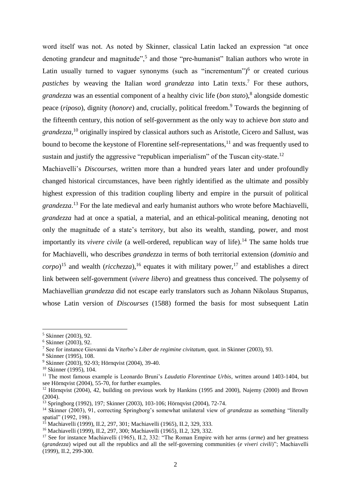word itself was not. As noted by Skinner, classical Latin lacked an expression "at once denoting grandeur and magnitude",<sup>5</sup> and those "pre-humanist" Italian authors who wrote in Latin usually turned to vaguer synonyms (such as "incrementum")<sup>6</sup> or created curious *pastiches* by weaving the Italian word *grandezza* into Latin texts. <sup>7</sup> For these authors, grandezza was an essential component of a healthy civic life (*bon stato*),<sup>8</sup> alongside domestic peace (*riposo*), dignity (*honore*) and, crucially, political freedom.<sup>9</sup> Towards the beginning of the fifteenth century, this notion of self-government as the only way to achieve *bon stato* and *grandezza*, <sup>10</sup> originally inspired by classical authors such as Aristotle, Cicero and Sallust, was bound to become the keystone of Florentine self-representations, $11$  and was frequently used to sustain and justify the aggressive "republican imperialism" of the Tuscan city-state.<sup>12</sup>

Machiavelli's *Discourses*, written more than a hundred years later and under profoundly changed historical circumstances, have been rightly identified as the ultimate and possibly highest expression of this tradition coupling liberty and empire in the pursuit of political *grandezza*. <sup>13</sup> For the late medieval and early humanist authors who wrote before Machiavelli, *grandezza* had at once a spatial, a material, and an ethical-political meaning, denoting not only the magnitude of a state's territory, but also its wealth, standing, power, and most importantly its *vivere civile* (a well-ordered, republican way of life).<sup>14</sup> The same holds true for Machiavelli, who describes *grandezza* in terms of both territorial extension (*dominio* and  $corpo$ <sup>15</sup> and wealth (*ricchezza*),<sup>16</sup> equates it with military power,<sup>17</sup> and establishes a direct link between self-government (*vivere libero*) and greatness thus conceived. The polysemy of Machiavellian *grandezza* did not escape early translators such as Johann Nikolaus Stupanus, whose Latin version of *Discourses* (1588) formed the basis for most subsequent Latin

<sup>5</sup> Skinner (2003), 92.

<sup>6</sup> Skinner (2003), 92.

<sup>7</sup> See for instance Giovanni da Viterbo's *Liber de regimine civitatum*, quot. in Skinner (2003), 93.

<sup>8</sup> Skinner (1995), 108.

<sup>9</sup> Skinner (2003), 92-93; Hörnqvist (2004), 39-40.

<sup>10</sup> Skinner (1995), 104.

<sup>11</sup> The most famous example is Leonardo Bruni's *Laudatio Florentinae Urbis*, written around 1403-1404, but see Hörnqvist (2004), 55-70, for further examples.

<sup>&</sup>lt;sup>12</sup> Hörnqvist (2004), 42, building on previous work by Hankins (1995 and 2000), Najemy (2000) and Brown  $(2004)$ .

<sup>13</sup> Springborg (1992), 197; Skinner (2003), 103-106; Hörnqvist (2004), 72-74.

<sup>14</sup> Skinner (2003), 91, correcting Springborg's somewhat unilateral view of *grandezza* as something "literally spatial" (1992, 198).

<sup>15</sup> Machiavelli (1999), II.2, 297, 301; Machiavelli (1965), II.2, 329, 333.

<sup>16</sup> Machiavelli (1999), II.2, 297, 300; Machiavelli (1965), II.2, 329, 332.

<sup>17</sup> See for instance Machiavelli (1965), II.2, 332: "The Roman Empire with her arms (*arme*) and her greatness (*grandezza*) wiped out all the republics and all the self-governing communities (*e viveri civili*)"; Machiavelli  $(1999)$ , II.2, 299-300.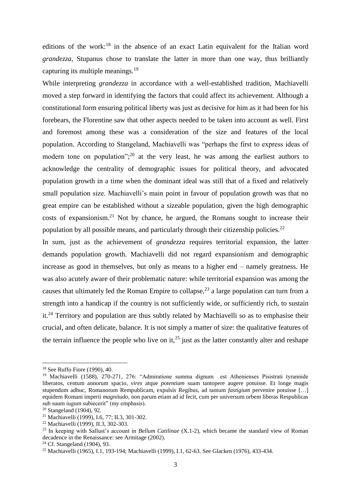editions of the work:<sup>18</sup> in the absence of an exact Latin equivalent for the Italian word *grandezza*, Stupanus chose to translate the latter in more than one way, thus brilliantly capturing its multiple meanings.<sup>19</sup>

While interpreting *grandezza* in accordance with a well-established tradition, Machiavelli moved a step forward in identifying the factors that could affect its achievement. Although a constitutional form ensuring political liberty was just as decisive for him as it had been for his forebears, the Florentine saw that other aspects needed to be taken into account as well. First and foremost among these was a consideration of the size and features of the local population. According to Stangeland, Machiavelli was "perhaps the first to express ideas of modern tone on population";<sup>20</sup> at the very least, he was among the earliest authors to acknowledge the centrality of demographic issues for political theory, and advocated population growth in a time when the dominant ideal was still that of a fixed and relatively small population size. Machiavelli's main point in favour of population growth was that no great empire can be established without a sizeable population, given the high demographic costs of expansionism. <sup>21</sup> Not by chance, he argued, the Romans sought to increase their population by all possible means, and particularly through their citizenship policies.<sup>22</sup>

In sum, just as the achievement of *grandezza* requires territorial expansion, the latter demands population growth. Machiavelli did not regard expansionism and demographic increase as good in themselves, but only as means to a higher end – namely greatness. He was also acutely aware of their problematic nature: while territorial expansion was among the causes that ultimately led the Roman Empire to collapse,  $2<sup>3</sup>$  a large population can turn from a strength into a handicap if the country is not sufficiently wide, or sufficiently rich, to sustain it.<sup>24</sup> Territory and population are thus subtly related by Machiavelli so as to emphasise their crucial, and often delicate, balance. It is not simply a matter of size: the qualitative features of the terrain influence the people who live on it.<sup>25</sup> just as the latter constantly alter and reshape

 $\overline{a}$ 

<sup>18</sup> See Ruffo Fiore (1990), 40.

<sup>19</sup> Machiavelli (1588), 270-271, 276: "Admiratione summa dignum est Athenienses Pisistrati tyrannide liberatos, centum annorum spacio, *vires* atque *potentiam* suam tantopere augere potuisse. Et longe magis stupendum adhuc, Romanorum Rempublicam, expulsis Regibus, ad tantum *fastigium* pervenire potuisse […] equidem Romani imperii *magnitudo*, non parum etiam ad id fecit, cum per universum orbem liberas Respublicas sub suum iugum subiecerit" (my emphasis).

<sup>20</sup> Stangeland (1904), 92.

<sup>21</sup> Machiavelli (1999), I.6, 77; II.3, 301-302.

<sup>22</sup> Machiavelli (1999), II.3, 302-303.

<sup>23</sup> In keeping with Sallust's account in *Bellum Catilinae* (X.1-2), which became the standard view of Roman decadence in the Renaissance: see Armitage (2002).

<sup>24</sup> Cf. Stangeland (1904), 93.

<sup>25</sup> Machiavelli (1965), I.1, 193-194; Machiavelli (1999), I.1, 62-63. See Glacken (1976), 433-434.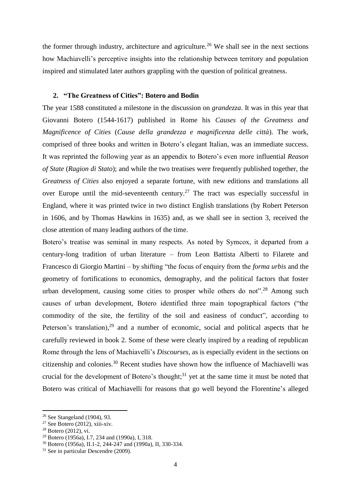the former through industry, architecture and agriculture.<sup>26</sup> We shall see in the next sections how Machiavelli's perceptive insights into the relationship between territory and population inspired and stimulated later authors grappling with the question of political greatness.

# **2. "The Greatness of Cities": Botero and Bodin**

The year 1588 constituted a milestone in the discussion on *grandezza*. It was in this year that Giovanni Botero (1544-1617) published in Rome his *Causes of the Greatness and Magnificence of Cities* (*Cause della grandezza e magnificenza delle città*). The work, comprised of three books and written in Botero's elegant Italian, was an immediate success. It was reprinted the following year as an appendix to Botero's even more influential *Reason of State* (*Ragion di Stato*); and while the two treatises were frequently published together, the *Greatness of Cities* also enjoyed a separate fortune, with new editions and translations all over Europe until the mid-seventeenth century.<sup>27</sup> The tract was especially successful in England, where it was printed twice in two distinct English translations (by Robert Peterson in 1606, and by Thomas Hawkins in 1635) and, as we shall see in section 3, received the close attention of many leading authors of the time.

Botero's treatise was seminal in many respects. As noted by Symcox, it departed from a century-long tradition of urban literature – from Leon Battista Alberti to Filarete and Francesco di Giorgio Martini – by shifting "the focus of enquiry from the *forma urbis* and the geometry of fortifications to economics, demography, and the political factors that foster urban development, causing some cities to prosper while others do not".<sup>28</sup> Among such causes of urban development, Botero identified three main topographical factors ("the commodity of the site, the fertility of the soil and easiness of conduct", according to Peterson's translation),<sup>29</sup> and a number of economic, social and political aspects that he carefully reviewed in book 2. Some of these were clearly inspired by a reading of republican Rome through the lens of Machiavelli's *Discourses*, as is especially evident in the sections on citizenship and colonies.<sup>30</sup> Recent studies have shown how the influence of Machiavelli was crucial for the development of Botero's thought; $31$  yet at the same time it must be noted that Botero was critical of Machiavelli for reasons that go well beyond the Florentine's alleged

<sup>&</sup>lt;sup>26</sup> See Stangeland (1904), 93.

 $27$  See Botero (2012), xiii-xiv.

<sup>28</sup> Botero (2012), vi.

<sup>29</sup> Botero (1956a), I.7, 234 and (1990a), I, 318.

<sup>30</sup> Botero (1956a), II.1-2, 244-247 and (1990a), II, 330-334.

<sup>&</sup>lt;sup>31</sup> See in particular Descendre (2009).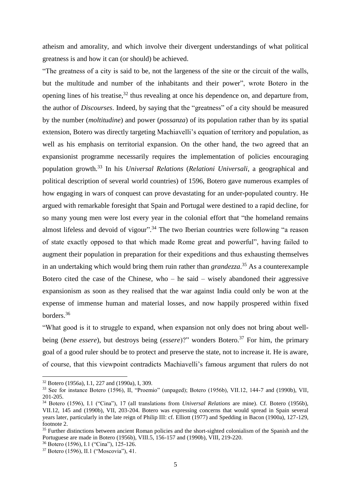atheism and amorality, and which involve their divergent understandings of what political greatness is and how it can (or should) be achieved.

"The greatness of a city is said to be, not the largeness of the site or the circuit of the walls, but the multitude and number of the inhabitants and their power", wrote Botero in the opening lines of his treatise,<sup>32</sup> thus revealing at once his dependence on, and departure from, the author of *Discourses*. Indeed, by saying that the "greatness" of a city should be measured by the number (*moltitudine*) and power (*possanza*) of its population rather than by its spatial extension, Botero was directly targeting Machiavelli's equation of territory and population, as well as his emphasis on territorial expansion. On the other hand, the two agreed that an expansionist programme necessarily requires the implementation of policies encouraging population growth.<sup>33</sup> In his *Universal Relations* (*Relationi Universali*, a geographical and political description of several world countries) of 1596, Botero gave numerous examples of how engaging in wars of conquest can prove devastating for an under-populated country. He argued with remarkable foresight that Spain and Portugal were destined to a rapid decline, for so many young men were lost every year in the colonial effort that "the homeland remains almost lifeless and devoid of vigour".<sup>34</sup> The two Iberian countries were following "a reason of state exactly opposed to that which made Rome great and powerful", having failed to augment their population in preparation for their expeditions and thus exhausting themselves in an undertaking which would bring them ruin rather than *grandezza*. <sup>35</sup> As a counterexample Botero cited the case of the Chinese, who – he said – wisely abandoned their aggressive expansionism as soon as they realised that the war against India could only be won at the expense of immense human and material losses, and now happily prospered within fixed borders.<sup>36</sup>

"What good is it to struggle to expand, when expansion not only does not bring about wellbeing *(bene essere)*, but destroys being *(essere)?*" wonders Botero.<sup>37</sup> For him, the primary goal of a good ruler should be to protect and preserve the state, not to increase it. He is aware, of course, that this viewpoint contradicts Machiavelli's famous argument that rulers do not

<sup>32</sup> Botero (1956a), I.1, 227 and (1990a), I, 309.

<sup>&</sup>lt;sup>33</sup> See for instance Botero (1596), II, "Proemio" (unpaged); Botero (1956b), VII.12, 144-7 and (1990b), VII, 201-205.

<sup>34</sup> Botero (1596), I.1 ("Cina"), 17 (all translations from *Universal Relations* are mine). Cf. Botero (1956b), VII.12, 145 and (1990b), VII, 203-204. Botero was expressing concerns that would spread in Spain several years later, particularly in the late reign of Philip III: cf. Elliott (1977) and Spedding in Bacon (1900a), 127-129, footnote 2.

<sup>&</sup>lt;sup>35</sup> Further distinctions between ancient Roman policies and the short-sighted colonialism of the Spanish and the Portuguese are made in Botero (1956b), VIII.5, 156-157 and (1990b), VIII, 219-220.

<sup>36</sup> Botero (1596), I.1 ("Cina"), 125-126.

<sup>37</sup> Botero (1596), II.1 ("Moscovia"), 41.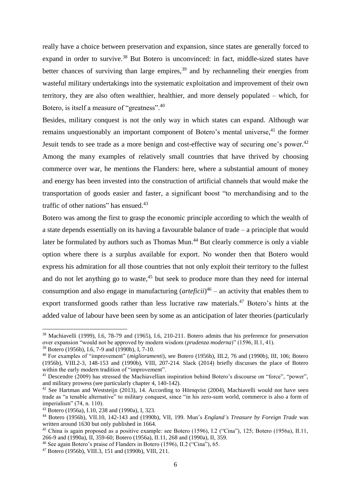really have a choice between preservation and expansion, since states are generally forced to expand in order to survive.<sup>38</sup> But Botero is unconvinced: in fact, middle-sized states have better chances of surviving than large empires,  $39$  and by rechanneling their energies from wasteful military undertakings into the systematic exploitation and improvement of their own territory, they are also often wealthier, healthier, and more densely populated – which, for Botero, is itself a measure of "greatness".<sup>40</sup>

Besides, military conquest is not the only way in which states can expand. Although war remains unquestionably an important component of Botero's mental universe,<sup>41</sup> the former Jesuit tends to see trade as a more benign and cost-effective way of securing one's power.<sup>42</sup> Among the many examples of relatively small countries that have thrived by choosing commerce over war, he mentions the Flanders: here, where a substantial amount of money and energy has been invested into the construction of artificial channels that would make the transportation of goods easier and faster, a significant boost "to merchandising and to the traffic of other nations" has ensued.<sup>43</sup>

Botero was among the first to grasp the economic principle according to which the wealth of a state depends essentially on its having a favourable balance of trade – a principle that would later be formulated by authors such as Thomas Mun.<sup>44</sup> But clearly commerce is only a viable option where there is a surplus available for export. No wonder then that Botero would express his admiration for all those countries that not only exploit their territory to the fullest and do not let anything go to waste, $45$  but seek to produce more than they need for internal consumption and also engage in manufacturing (*arteficii*) 46 – an activity that enables them to export transformed goods rather than less lucrative raw materials.<sup>47</sup> Botero's hints at the added value of labour have been seen by some as an anticipation of later theories (particularly

<sup>&</sup>lt;sup>38</sup> Machiavelli (1999), I.6, 78-79 and (1965), I.6, 210-211. Botero admits that his preference for preservation over expansion "would not be approved by modern wisdom (*prudenza moderna*)" (1596, II.1, 41).

<sup>39</sup> Botero (1956b), I.6, 7-9 and (1990b), I, 7-10.

<sup>40</sup> For examples of "improvement" (*miglioramenti*), see Botero (1956b), III.2, 76 and (1990b), III, 106; Botero (1956b), VIII.2-3, 148-153 and (1990b), VIII, 207-214. Slack (2014) briefly discusses the place of Botero within the early modern tradition of "improvement".

<sup>41</sup> Descendre (2009) has stressed the Machiavellian inspiration behind Botero's discourse on "force", "power", and military prowess (see particularly chapter 4, 140-142).

 $42$  See Hartman and Weststeijn (2013), 14. According to Hörnqvist (2004), Machiavelli would not have seen trade as "a tenable alternative" to military conquest, since "in his zero-sum world, commerce is also a form of imperialism" (74, n. 110).

<sup>43</sup> Botero (1956a), I.10, 238 and (1990a), I, 323.

<sup>44</sup> Botero (1956b), VII.10, 142-143 and (1990b), VII, 199. Mun's *England's Treasure by Foreign Trade* was written around 1630 but only published in 1664.

<sup>45</sup> China is again proposed as a positive example: see Botero (1596), I.2 ("Cina"), 125; Botero (1956a), II.11, 266-9 and (1990a), II, 359-60; Botero (1956a), II.11, 268 and (1990a), II, 359.

<sup>46</sup> See again Botero's praise of Flanders in Botero (1596), II.2 ("Cina"), 65.

<sup>47</sup> Botero (1956b), VIII.3, 151 and (1990b), VIII, 211.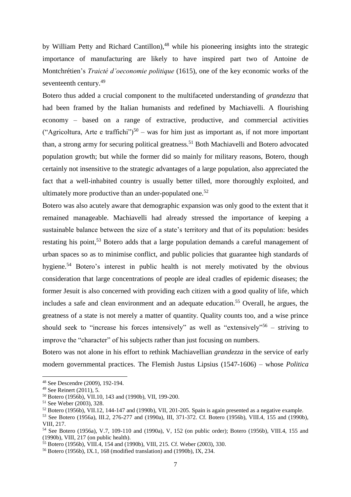by William Petty and Richard Cantillon),<sup>48</sup> while his pioneering insights into the strategic importance of manufacturing are likely to have inspired part two of Antoine de Montchrétien's *Traicté d'oeconomie politique* (1615), one of the key economic works of the seventeenth century.<sup>49</sup>

Botero thus added a crucial component to the multifaceted understanding of *grandezza* that had been framed by the Italian humanists and redefined by Machiavelli. A flourishing economy – based on a range of extractive, productive, and commercial activities ("Agricoltura, Arte e traffichi")<sup>50</sup> – was for him just as important as, if not more important than, a strong army for securing political greatness.<sup>51</sup> Both Machiavelli and Botero advocated population growth; but while the former did so mainly for military reasons, Botero, though certainly not insensitive to the strategic advantages of a large population, also appreciated the fact that a well-inhabited country is usually better tilled, more thoroughly exploited, and ultimately more productive than an under-populated one.<sup>52</sup>

Botero was also acutely aware that demographic expansion was only good to the extent that it remained manageable. Machiavelli had already stressed the importance of keeping a sustainable balance between the size of a state's territory and that of its population: besides restating his point,<sup>53</sup> Botero adds that a large population demands a careful management of urban spaces so as to minimise conflict, and public policies that guarantee high standards of hygiene.<sup>54</sup> Botero's interest in public health is not merely motivated by the obvious consideration that large concentrations of people are ideal cradles of epidemic diseases; the former Jesuit is also concerned with providing each citizen with a good quality of life, which includes a safe and clean environment and an adequate education.<sup>55</sup> Overall, he argues, the greatness of a state is not merely a matter of quantity. Quality counts too, and a wise prince should seek to "increase his forces intensively" as well as "extensively"<sup>56</sup> – striving to improve the "character" of his subjects rather than just focusing on numbers.

Botero was not alone in his effort to rethink Machiavellian *grandezza* in the service of early modern governmental practices. The Flemish Justus Lipsius (1547-1606) – whose *Politica* 

<sup>48</sup> See Descendre (2009), 192-194.

<sup>49</sup> See Reinert (2011), 5.

<sup>50</sup> Botero (1956b), VII.10, 143 and (1990b), VII, 199-200.

<sup>51</sup> See Weber (2003), 328.

 $52$  Botero (1956b), VII.12, 144-147 and (1990b), VII, 201-205. Spain is again presented as a negative example.

<sup>&</sup>lt;sup>53</sup> See Botero (1956a), III.2, 276-277 and (1990a), III, 371-372. Cf. Botero (1956b), VIII.4, 155 and (1990b), VIII, 217.

<sup>54</sup> See Botero (1956a), V.7, 109-110 and (1990a), V, 152 (on public order); Botero (1956b), VIII.4, 155 and (1990b), VIII, 217 (on public health).

<sup>55</sup> Botero (1956b), VIII.4, 154 and (1990b), VIII, 215. Cf. Weber (2003), 330.

<sup>56</sup> Botero (1956b), IX.1, 168 (modified translation) and (1990b), IX, 234.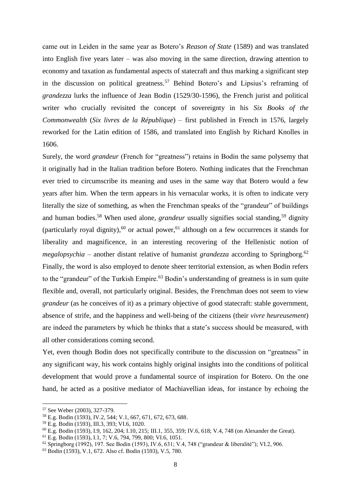came out in Leiden in the same year as Botero's *Reason of State* (1589) and was translated into English five years later – was also moving in the same direction, drawing attention to economy and taxation as fundamental aspects of statecraft and thus marking a significant step in the discussion on political greatness. <sup>57</sup> Behind Botero's and Lipsius's reframing of *grandezza* lurks the influence of Jean Bodin (1529/30-1596), the French jurist and political writer who crucially revisited the concept of sovereignty in his *Six Books of the Commonwealth* (*Six livres de la République*) – first published in French in 1576, largely reworked for the Latin edition of 1586, and translated into English by Richard Knolles in 1606.

Surely, the word *grandeur* (French for "greatness") retains in Bodin the same polysemy that it originally had in the Italian tradition before Botero. Nothing indicates that the Frenchman ever tried to circumscribe its meaning and uses in the same way that Botero would a few years after him. When the term appears in his vernacular works, it is often to indicate very literally the size of something, as when the Frenchman speaks of the "grandeur" of buildings and human bodies.<sup>58</sup> When used alone, *grandeur* usually signifies social standing,<sup>59</sup> dignity (particularly royal dignity),<sup>60</sup> or actual power,<sup>61</sup> although on a few occurrences it stands for liberality and magnificence, in an interesting recovering of the Hellenistic notion of *megalopsychia* – another distant relative of humanist *grandezza* according to Springborg.<sup>62</sup> Finally, the word is also employed to denote sheer territorial extension, as when Bodin refers to the "grandeur" of the Turkish Empire.<sup>63</sup> Bodin's understanding of greatness is in sum quite flexible and, overall, not particularly original. Besides, the Frenchman does not seem to view *grandeur* (as he conceives of it) as a primary objective of good statecraft: stable government, absence of strife, and the happiness and well-being of the citizens (their *vivre heureusement*) are indeed the parameters by which he thinks that a state's success should be measured, with all other considerations coming second.

Yet, even though Bodin does not specifically contribute to the discussion on "greatness" in any significant way, his work contains highly original insights into the conditions of political development that would prove a fundamental source of inspiration for Botero. On the one hand, he acted as a positive mediator of Machiavellian ideas, for instance by echoing the

<sup>57</sup> See Weber (2003), 327-379.

<sup>58</sup> E.g. Bodin (1593), IV.2, 544; V.1, 667, 671, 672, 673, 688.

<sup>59</sup> E.g. Bodin (1593), III.3, 393; VI.6, 1020.

<sup>60</sup> E.g. Bodin (1593), I.9, 162, 204; I.10, 215; III.1, 355, 359; IV.6, 618; V.4, 748 (on Alexander the Great).

<sup>61</sup> E.g. Bodin (1593), I.1, 7; V.6, 794, 799, 800; VI.6, 1051.

<sup>62</sup> Springborg (1992), 197. See Bodin (1593), IV.6, 631; V.4, 748 ("grandeur & liberalité"); VI.2, 906.

<sup>63</sup> Bodin (1593), V.1, 672. Also cf. Bodin (1593), V.5, 780.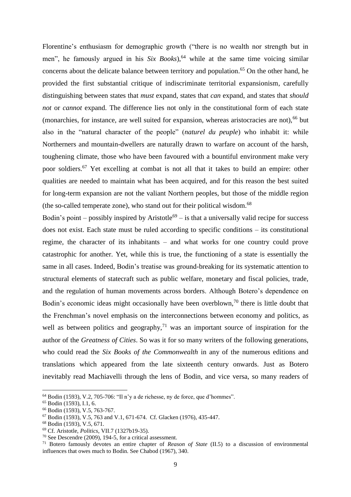Florentine's enthusiasm for demographic growth ("there is no wealth nor strength but in men", he famously argued in his *Six Books*),  $64$  while at the same time voicing similar concerns about the delicate balance between territory and population. <sup>65</sup> On the other hand, he provided the first substantial critique of indiscriminate territorial expansionism, carefully distinguishing between states that *must* expand, states that *can* expand, and states that *should not* or *cannot* expand. The difference lies not only in the constitutional form of each state (monarchies, for instance, are well suited for expansion, whereas aristocracies are not),  $^{66}$  but also in the "natural character of the people" (*naturel du peuple*) who inhabit it: while Northerners and mountain-dwellers are naturally drawn to warfare on account of the harsh, toughening climate, those who have been favoured with a bountiful environment make very poor soldiers.<sup>67</sup> Yet excelling at combat is not all that it takes to build an empire: other qualities are needed to maintain what has been acquired, and for this reason the best suited for long-term expansion are not the valiant Northern peoples, but those of the middle region (the so-called temperate zone), who stand out for their political wisdom. $^{68}$ 

Bodin's point – possibly inspired by Aristotle<sup>69</sup> – is that a universally valid recipe for success does not exist. Each state must be ruled according to specific conditions – its constitutional regime, the character of its inhabitants – and what works for one country could prove catastrophic for another. Yet, while this is true, the functioning of a state is essentially the same in all cases. Indeed, Bodin's treatise was ground-breaking for its systematic attention to structural elements of statecraft such as public welfare, monetary and fiscal policies, trade, and the regulation of human movements across borders. Although Botero's dependence on Bodin's economic ideas might occasionally have been overblown,<sup>70</sup> there is little doubt that the Frenchman's novel emphasis on the interconnections between economy and politics, as well as between politics and geography,<sup>71</sup> was an important source of inspiration for the author of the *Greatness of Cities*. So was it for so many writers of the following generations, who could read the *Six Books of the Commonwealth* in any of the numerous editions and translations which appeared from the late sixteenth century onwards. Just as Botero inevitably read Machiavelli through the lens of Bodin, and vice versa, so many readers of

 $\overline{a}$ 

 $64$  Bodin (1593), V.2, 705-706: "Il n'y a de richesse, ny de force, que d'hommes".

<sup>65</sup> Bodin (1593), I.1, 6.

<sup>66</sup> Bodin (1593), V.5, 763-767.

 $67$  Bodin (1593), V.5, 763 and V.1, 671-674. Cf. Glacken (1976), 435-447.

<sup>68</sup> Bodin (1593), V.5, 671.

<sup>69</sup> Cf. Aristotle, *Politics*, VII.7 (1327b19-35).

<sup>70</sup> See Descendre (2009), 194-5, for a critical assessment.

<sup>71</sup> Botero famously devotes an entire chapter of *Reason of State* (II.5) to a discussion of environmental influences that owes much to Bodin. See Chabod (1967), 340.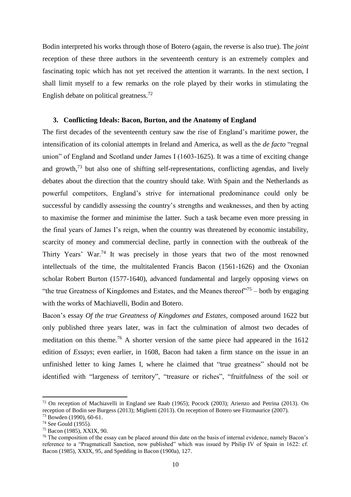Bodin interpreted his works through those of Botero (again, the reverse is also true). The *joint* reception of these three authors in the seventeenth century is an extremely complex and fascinating topic which has not yet received the attention it warrants. In the next section, I shall limit myself to a few remarks on the role played by their works in stimulating the English debate on political greatness.<sup>72</sup>

# **3. Conflicting Ideals: Bacon, Burton, and the Anatomy of England**

The first decades of the seventeenth century saw the rise of England's maritime power, the intensification of its colonial attempts in Ireland and America, as well as the *de facto* "regnal union" of England and Scotland under James I (1603-1625). It was a time of exciting change and growth, $73$  but also one of shifting self-representations, conflicting agendas, and lively debates about the direction that the country should take. With Spain and the Netherlands as powerful competitors, England's strive for international predominance could only be successful by candidly assessing the country's strengths and weaknesses, and then by acting to maximise the former and minimise the latter. Such a task became even more pressing in the final years of James I's reign, when the country was threatened by economic instability, scarcity of money and commercial decline, partly in connection with the outbreak of the Thirty Years' War.<sup>74</sup> It was precisely in those years that two of the most renowned intellectuals of the time, the multitalented Francis Bacon (1561-1626) and the Oxonian scholar Robert Burton (1577-1640), advanced fundamental and largely opposing views on "the true Greatness of Kingdomes and Estates, and the Meanes thereof"<sup>75</sup> – both by engaging with the works of Machiavelli, Bodin and Botero.

Bacon's essay *Of the true Greatness of Kingdomes and Estates*, composed around 1622 but only published three years later, was in fact the culmination of almost two decades of meditation on this theme.<sup>76</sup> A shorter version of the same piece had appeared in the  $1612$ edition of *Essays*; even earlier, in 1608, Bacon had taken a firm stance on the issue in an unfinished letter to king James I, where he claimed that "true greatness" should not be identified with "largeness of territory", "treasure or riches", "fruitfulness of the soil or

<sup>72</sup> On reception of Machiavelli in England see Raab (1965); Pocock (2003); Arienzo and Petrina (2013). On reception of Bodin see Burgess (2013); Miglietti (2013). On reception of Botero see Fitzmaurice (2007).

<sup>73</sup> Bowden (1990), 60-61.

<sup>74</sup> See Gould (1955).

<sup>75</sup> Bacon (1985), XXIX, 90.

<sup>76</sup> The composition of the essay can be placed around this date on the basis of internal evidence, namely Bacon's reference to a "Pragmaticall Sanction, now published" which was issued by Philip IV of Spain in 1622: cf. Bacon (1985), XXIX, 95, and Spedding in Bacon (1900a), 127.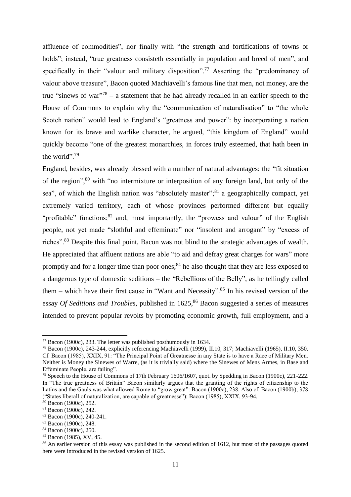affluence of commodities", nor finally with "the strength and fortifications of towns or holds"; instead, "true greatness consisteth essentially in population and breed of men", and specifically in their "valour and military disposition".<sup>77</sup> Asserting the "predominancy of valour above treasure", Bacon quoted Machiavelli's famous line that men, not money, are the true "sinews of war"<sup>78</sup> – a statement that he had already recalled in an earlier speech to the House of Commons to explain why the "communication of naturalisation" to "the whole Scotch nation" would lead to England's "greatness and power": by incorporating a nation known for its brave and warlike character, he argued, "this kingdom of England" would quickly become "one of the greatest monarchies, in forces truly esteemed, that hath been in the world".<sup>79</sup>

England, besides, was already blessed with a number of natural advantages: the "fit situation of the region",<sup>80</sup> with "no intermixture or interposition of any foreign land, but only of the sea", of which the English nation was "absolutely master";<sup>81</sup> a geographically compact, yet extremely varied territory, each of whose provinces performed different but equally "profitable" functions;  $82$  and, most importantly, the "prowess and valour" of the English people, not yet made "slothful and effeminate" nor "insolent and arrogant" by "excess of riches".<sup>83</sup> Despite this final point, Bacon was not blind to the strategic advantages of wealth. He appreciated that affluent nations are able "to aid and defray great charges for wars" more promptly and for a longer time than poor ones;<sup>84</sup> he also thought that they are less exposed to a dangerous type of domestic seditions – the "Rebellions of the Belly", as he tellingly called them – which have their first cause in "Want and Necessity".<sup>85</sup> In his revised version of the essay *Of Seditions and Troubles*, published in 1625, <sup>86</sup> Bacon suggested a series of measures intended to prevent popular revolts by promoting economic growth, full employment, and a

 $77$  Bacon (1900c), 233. The letter was published posthumously in 1634.

<sup>78</sup> Bacon (1900c), 243-244, explicitly referencing Machiavelli (1999), II.10, 317; Machiavelli (1965), II.10, 350. Cf. Bacon (1985), XXIX, 91: "The Principal Point of Greatnesse in any State is to have a Race of Military Men. Neither is Money the Sinewes of Warre, (as it is trivially said) where the Sinewes of Mens Armes, in Base and Effeminate People, are failing".

<sup>79</sup> Speech to the House of Commons of 17th February 1606/1607, quot. by Spedding in Bacon (1900c), 221-222. In "The true greatness of Britain" Bacon similarly argues that the granting of the rights of citizenship to the Latins and the Gauls was what allowed Rome to "grow great": Bacon (1900c), 238. Also cf. Bacon (1900b), 378 ("States liberall of naturalization, are capable of greatnesse"); Bacon (1985), XXIX, 93-94.

<sup>80</sup> Bacon (1900c), 252.

<sup>81</sup> Bacon (1900c), 242.

<sup>82</sup> Bacon (1900c), 240-241.

<sup>83</sup> Bacon (1900c), 248.

<sup>84</sup> Bacon (1900c), 250.

<sup>85</sup> Bacon (1985), XV, 45.

<sup>&</sup>lt;sup>86</sup> An earlier version of this essay was published in the second edition of 1612, but most of the passages quoted here were introduced in the revised version of 1625.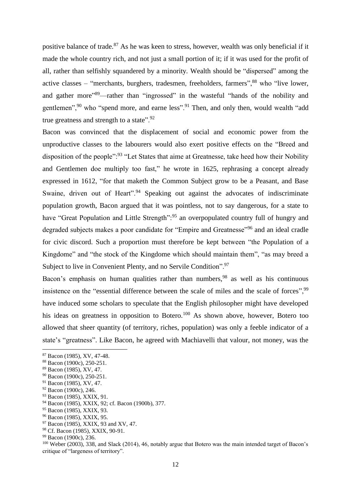positive balance of trade.<sup>87</sup> As he was keen to stress, however, wealth was only beneficial if it made the whole country rich, and not just a small portion of it; if it was used for the profit of all, rather than selfishly squandered by a minority. Wealth should be "dispersed" among the active classes – "merchants, burghers, tradesmen, freeholders, farmers",  $88$  who "live lower, and gather more"<sup>89</sup>—rather than "ingrossed" in the wasteful "hands of the nobility and gentlemen",<sup>90</sup> who "spend more, and earne less".<sup>91</sup> Then, and only then, would wealth "add true greatness and strength to a state".<sup>92</sup>

Bacon was convinced that the displacement of social and economic power from the unproductive classes to the labourers would also exert positive effects on the "Breed and disposition of the people":<sup>93</sup> "Let States that aime at Greatnesse, take heed how their Nobility and Gentlemen doe multiply too fast," he wrote in 1625, rephrasing a concept already expressed in 1612, "for that maketh the Common Subject grow to be a Peasant, and Base Swaine, driven out of Heart".<sup>94</sup> Speaking out against the advocates of indiscriminate population growth, Bacon argued that it was pointless, not to say dangerous, for a state to have "Great Population and Little Strength":<sup>95</sup> an overpopulated country full of hungry and degraded subjects makes a poor candidate for "Empire and Greatnesse"<sup>96</sup> and an ideal cradle for civic discord. Such a proportion must therefore be kept between "the Population of a Kingdome" and "the stock of the Kingdome which should maintain them", "as may breed a Subject to live in Convenient Plenty, and no Servile Condition".<sup>97</sup>

Bacon's emphasis on human qualities rather than numbers,  $98$  as well as his continuous insistence on the "essential difference between the scale of miles and the scale of forces", <sup>99</sup> have induced some scholars to speculate that the English philosopher might have developed his ideas on greatness in opposition to Botero.<sup>100</sup> As shown above, however, Botero too allowed that sheer quantity (of territory, riches, population) was only a feeble indicator of a state's "greatness". Like Bacon, he agreed with Machiavelli that valour, not money, was the

<sup>87</sup> Bacon (1985), XV, 47-48.

<sup>88</sup> Bacon (1900c), 250-251.

<sup>89</sup> Bacon (1985), XV, 47.

<sup>90</sup> Bacon (1900c), 250-251.

<sup>91</sup> Bacon (1985), XV, 47.

 $92$  Bacon (1900c), 246.

<sup>93</sup> Bacon (1985), XXIX, 91.

<sup>94</sup> Bacon (1985), XXIX, 92; cf. Bacon (1900b), 377.

<sup>95</sup> Bacon (1985), XXIX, 93.

<sup>96</sup> Bacon (1985), XXIX, 95.

<sup>97</sup> Bacon (1985), XXIX, 93 and XV, 47.

<sup>98</sup> Cf. Bacon (1985), XXIX, 90-91.

<sup>99</sup> Bacon (1900c), 236.

<sup>100</sup> Weber (2003), 338, and Slack (2014), 46, notably argue that Botero was the main intended target of Bacon's critique of "largeness of territory".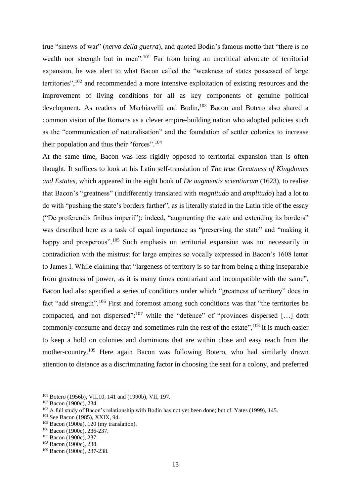true "sinews of war" (*nervo della guerra*), and quoted Bodin's famous motto that "there is no wealth nor strength but in men".<sup>101</sup> Far from being an uncritical advocate of territorial expansion, he was alert to what Bacon called the "weakness of states possessed of large territories",<sup>102</sup> and recommended a more intensive exploitation of existing resources and the improvement of living conditions for all as key components of genuine political development. As readers of Machiavelli and Bodin,<sup>103</sup> Bacon and Botero also shared a common vision of the Romans as a clever empire-building nation who adopted policies such as the "communication of naturalisation" and the foundation of settler colonies to increase their population and thus their "forces".<sup>104</sup>

At the same time, Bacon was less rigidly opposed to territorial expansion than is often thought. It suffices to look at his Latin self-translation of *The true Greatness of Kingdomes and Estates*, which appeared in the eight book of *De augmentis scientiarum* (1623), to realise that Bacon's "greatness" (indifferently translated with *magnitudo* and *amplitudo*) had a lot to do with "pushing the state's borders farther", as is literally stated in the Latin title of the essay ("De proferendis finibus imperii"): indeed, "augmenting the state and extending its borders" was described here as a task of equal importance as "preserving the state" and "making it happy and prosperous".<sup>105</sup> Such emphasis on territorial expansion was not necessarily in contradiction with the mistrust for large empires so vocally expressed in Bacon's 1608 letter to James I. While claiming that "largeness of territory is so far from being a thing inseparable from greatness of power, as it is many times contrariant and incompatible with the same", Bacon had also specified a series of conditions under which "greatness of territory" does in fact "add strength".<sup>106</sup> First and foremost among such conditions was that "the territories be compacted, and not dispersed": $107$  while the "defence" of "provinces dispersed [...] doth commonly consume and decay and sometimes ruin the rest of the estate",<sup>108</sup> it is much easier to keep a hold on colonies and dominions that are within close and easy reach from the mother-country.<sup>109</sup> Here again Bacon was following Botero, who had similarly drawn attention to distance as a discriminating factor in choosing the seat for a colony, and preferred

 $\overline{a}$ 

<sup>101</sup> Botero (1956b), VII.10, 141 and (1990b), VII, 197.

<sup>102</sup> Bacon (1900c), 234.

<sup>&</sup>lt;sup>103</sup> A full study of Bacon's relationship with Bodin has not yet been done; but cf. Yates (1999), 145.

<sup>104</sup> See Bacon (1985), XXIX, 94.

<sup>105</sup> Bacon (1900a), 120 (my translation).

<sup>106</sup> Bacon (1900c), 236-237.

<sup>107</sup> Bacon (1900c), 237.

<sup>108</sup> Bacon (1900c), 238.

<sup>109</sup> Bacon (1900c), 237-238.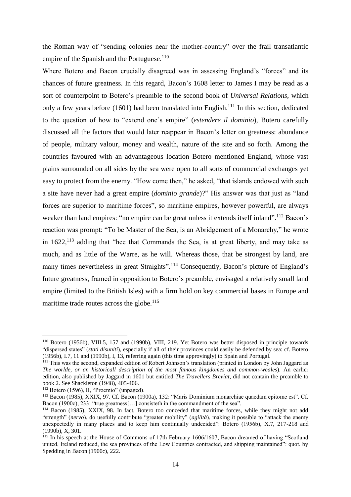the Roman way of "sending colonies near the mother-country" over the frail transatlantic empire of the Spanish and the Portuguese. $110$ 

Where Botero and Bacon crucially disagreed was in assessing England's "forces" and its chances of future greatness. In this regard, Bacon's 1608 letter to James I may be read as a sort of counterpoint to Botero's preamble to the second book of *Universal Relations*, which only a few years before (1601) had been translated into English.<sup>111</sup> In this section, dedicated to the question of how to "extend one's empire" (*estendere il dominio*), Botero carefully discussed all the factors that would later reappear in Bacon's letter on greatness: abundance of people, military valour, money and wealth, nature of the site and so forth. Among the countries favoured with an advantageous location Botero mentioned England, whose vast plains surrounded on all sides by the sea were open to all sorts of commercial exchanges yet easy to protect from the enemy. "How come then," he asked, "that islands endowed with such a site have never had a great empire (*dominio grande*)?" His answer was that just as "land forces are superior to maritime forces", so maritime empires, however powerful, are always weaker than land empires: "no empire can be great unless it extends itself inland".<sup>112</sup> Bacon's reaction was prompt: "To be Master of the Sea, is an Abridgement of a Monarchy," he wrote in  $1622$ ,  $113$  adding that "hee that Commands the Sea, is at great liberty, and may take as much, and as little of the Warre, as he will. Whereas those, that be strongest by land, are many times nevertheless in great Straights".<sup>114</sup> Consequently, Bacon's picture of England's future greatness, framed in opposition to Botero's preamble, envisaged a relatively small land empire (limited to the British Isles) with a firm hold on key commercial bases in Europe and maritime trade routes across the globe.<sup>115</sup>

<sup>110</sup> Botero (1956b), VIII.5, 157 and (1990b), VIII, 219. Yet Botero was better disposed in principle towards "dispersed states" (*stati disuniti*), especially if all of their provinces could easily be defended by sea: cf. Botero (1956b), I.7, 11 and (1990b), I, 13, referring again (this time approvingly) to Spain and Portugal.

<sup>111</sup> This was the second, expanded edition of Robert Johnson's translation (printed in London by John Jaggard as *The worlde, or an historicall description of the most famous kingdomes and common-weales*). An earlier edition, also published by Jaggard in 1601 but entitled *The Travellers Breviat*, did not contain the preamble to book 2. See Shackleton (1948), 405-406.

 $112$  Botero (1596), II, "Proemio" (unpaged).

<sup>113</sup> Bacon (1985), XXIX, 97. Cf. Bacon (1900a), 132: "Maris Dominium monarchiae quaedam epitome est". Cf. Bacon (1900c), 233: "true greatness[...] consisteth in the commandment of the sea".

<sup>114</sup> Bacon (1985), XXIX, 98. In fact, Botero too conceded that maritime forces, while they might not add "strength" (*nervo*), do usefully contribute "greater mobility" (*agilità*), making it possible to "attack the enemy unexpectedly in many places and to keep him continually undecided": Botero (1956b), X.7, 217-218 and (1990b), X, 301.

<sup>&</sup>lt;sup>115</sup> In his speech at the House of Commons of 17th February 1606/1607, Bacon dreamed of having "Scotland united, Ireland reduced, the sea provinces of the Low Countries contracted, and shipping maintained": quot. by Spedding in Bacon (1900c), 222.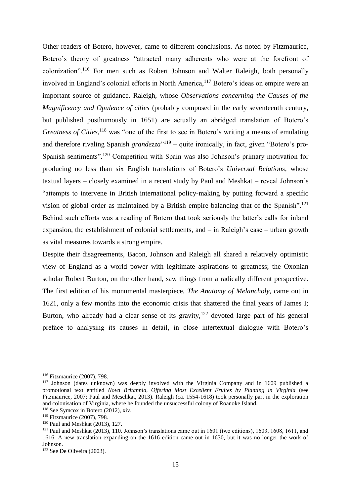Other readers of Botero, however, came to different conclusions. As noted by Fitzmaurice, Botero's theory of greatness "attracted many adherents who were at the forefront of colonization".<sup>116</sup> For men such as Robert Johnson and Walter Raleigh, both personally involved in England's colonial efforts in North America,<sup>117</sup> Botero's ideas on empire were an important source of guidance. Raleigh, whose *Observations concerning the Causes of the Magnificency and Opulence of cities* (probably composed in the early seventeenth century, but published posthumously in 1651) are actually an abridged translation of Botero's Greatness of Cities,<sup>118</sup> was "one of the first to see in Botero's writing a means of emulating and therefore rivaling Spanish *grandezza*<sup>"119</sup> – quite ironically, in fact, given "Botero's pro-Spanish sentiments".<sup>120</sup> Competition with Spain was also Johnson's primary motivation for producing no less than six English translations of Botero's *Universal Relations*, whose textual layers – closely examined in a recent study by Paul and Meshkat – reveal Johnson's "attempts to intervene in British international policy-making by putting forward a specific vision of global order as maintained by a British empire balancing that of the Spanish".<sup>121</sup> Behind such efforts was a reading of Botero that took seriously the latter's calls for inland expansion, the establishment of colonial settlements, and – in Raleigh's case – urban growth as vital measures towards a strong empire.

Despite their disagreements, Bacon, Johnson and Raleigh all shared a relatively optimistic view of England as a world power with legitimate aspirations to greatness; the Oxonian scholar Robert Burton, on the other hand, saw things from a radically different perspective. The first edition of his monumental masterpiece, *The Anatomy of Melancholy*, came out in 1621, only a few months into the economic crisis that shattered the final years of James I; Burton, who already had a clear sense of its gravity,  $122$  devoted large part of his general preface to analysing its causes in detail, in close intertextual dialogue with Botero's

<sup>116</sup> Fitzmaurice (2007), 798.

<sup>&</sup>lt;sup>117</sup> Johnson (dates unknown) was deeply involved with the Virginia Company and in 1609 published a promotional text entitled *Nova Britannia, Offering Most Excellent Fruites by Planting in Virginia* (see Fitzmaurice, 2007; Paul and Meschkat, 2013). Raleigh (ca. 1554-1618) took personally part in the exploration and colonisation of Virginia, where he founded the unsuccessful colony of Roanoke Island.

<sup>118</sup> See Symcox in Botero (2012), xiv.

<sup>119</sup> Fitzmaurice (2007), 798.

<sup>120</sup> Paul and Meshkat (2013), 127.

<sup>121</sup> Paul and Meshkat (2013), 110. Johnson's translations came out in 1601 (two editions), 1603, 1608, 1611, and 1616. A new translation expanding on the 1616 edition came out in 1630, but it was no longer the work of Johnson.

<sup>122</sup> See De Oliveira (2003).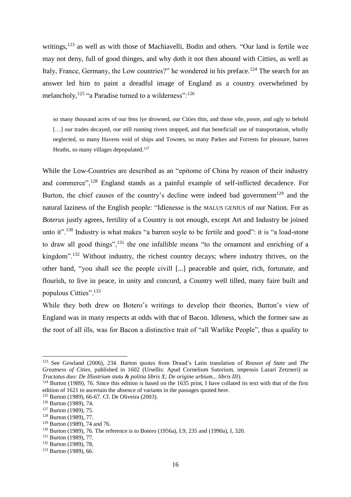writings,<sup>123</sup> as well as with those of Machiavelli, Bodin and others. "Our land is fertile wee may not deny, full of good thinges, and why doth it not then abound with Citties, as well as Italy, France, Germany, the Low countries?" he wondered in his preface.<sup>124</sup> The search for an answer led him to paint a dreadful image of England as a country overwhelmed by melancholy,  $125$  "a Paradise turned to a wilderness":  $126$ 

so many thousand acres of our fens lye drowned, our Cities thin, and those vile, poore, and ugly to behold [...] our trades decayed, our still running rivers stopped, and that beneficiall use of transportation, wholly neglected, so many Havens void of ships and Townes, so many Parkes and Forrests for pleasure, barren Heaths, so many villages depopulated.<sup>127</sup>

While the Low-Countries are described as an "epitome of China by reason of their industry and commerce",<sup>128</sup> England stands as a painful example of self-inflicted decadence. For Burton, the chief causes of the country's decline were indeed bad government<sup>129</sup> and the natural laziness of the English people: "Idlenesse is the MALUS GENIUS of our Nation. For as *Boterus* justly agrees, fertility of a Country is not enough, except Art and Industry be joined unto it".<sup>130</sup> Industry is what makes "a barren soyle to be fertile and good": it is "a load-stone to draw all good things",<sup>131</sup> the one infallible means "to the ornament and enriching of a kingdom".<sup>132</sup> Without industry, the richest country decays; where industry thrives, on the other hand, "you shall see the people civill [...] peaceable and quiet, rich, fortunate, and flourish, to live in peace, in unity and concord, a Country well tilled, many faire built and populous Citties".<sup>133</sup>

While they both drew on Botero's writings to develop their theories, Burton's view of England was in many respects at odds with that of Bacon. Idleness, which the former saw as the root of all ills, was for Bacon a distinctive trait of "all Warlike People", thus a quality to

<sup>123</sup> See Gowland (2006), 234. Burton quotes from Draud's Latin translation of *Reason of State* and *The Greatness of Cities*, published in 1602 (Ursellis: Apud Cornelium Sutorium, impensis Lazari Zetzneri) as *Tractatus duo: De Illustrium statu & politia libris X; De origine urbium... libris III*).

<sup>&</sup>lt;sup>124</sup> Burton (1989), 76. Since this edition is based on the 1635 print, I have collated its text with that of the first edition of 1621 to ascertain the absence of variants in the passages quoted here.

<sup>125</sup> Burton (1989), 66-67. Cf. De Oliveira (2003).

<sup>126</sup> Burton (1989), 74.

<sup>127</sup> Burton (1989), 75.

<sup>128</sup> Burton (1989), 77.

<sup>129</sup> Burton (1989), 74 and 76.

<sup>130</sup> Burton (1989), 76. The reference is to Botero (1956a), I.9, 235 and (1990a), I, 320.

<sup>131</sup> Burton (1989), 77.

<sup>132</sup> Burton (1989), 78,

<sup>133</sup> Burton (1989), 66.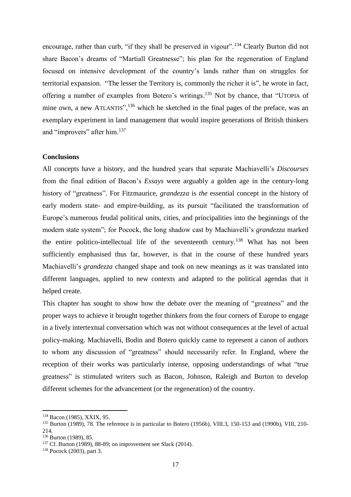encourage, rather than curb, "if they shall be preserved in vigour".<sup>134</sup> Clearly Burton did not share Bacon's dreams of "Martiall Greatnesse"; his plan for the regeneration of England focused on intensive development of the country's lands rather than on struggles for territorial expansion. "The lesser the Territory is, commonly the richer it is", he wrote in fact, offering a number of examples from Botero's writings. <sup>135</sup> Not by chance, that "UTOPIA of mine own, a new ATLANTIS",<sup>136</sup> which he sketched in the final pages of the preface, was an exemplary experiment in land management that would inspire generations of British thinkers and "improvers" after him.<sup>137</sup>

# **Conclusions**

All concepts have a history, and the hundred years that separate Machiavelli's *Discourses* from the final edition of Bacon's *Essays* were arguably a golden age in the century-long history of "greatness". For Fitzmaurice, *grandezza* is *the* essential concept in the history of early modern state- and empire-building, as its pursuit "facilitated the transformation of Europe's numerous feudal political units, cities, and principalities into the beginnings of the modern state system"; for Pocock, the long shadow cast by Machiavelli's *grandezza* marked the entire politico-intellectual life of the seventeenth century.<sup>138</sup> What has not been sufficiently emphasised thus far, however, is that in the course of these hundred years Machiavelli's *grandezza* changed shape and took on new meanings as it was translated into different languages, applied to new contexts and adapted to the political agendas that it helped create.

This chapter has sought to show how the debate over the meaning of "greatness" and the proper ways to achieve it brought together thinkers from the four corners of Europe to engage in a lively intertextual conversation which was not without consequences at the level of actual policy-making. Machiavelli, Bodin and Botero quickly came to represent a canon of authors to whom any discussion of "greatness" should necessarily refer. In England, where the reception of their works was particularly intense, opposing understandings of what "true greatness" is stimulated writers such as Bacon, Johnson, Raleigh and Burton to develop different schemes for the advancement (or the regeneration) of the country.

<sup>134</sup> Bacon (1985), XXIX, 95.

<sup>&</sup>lt;sup>135</sup> Burton (1989), 78. The reference is in particular to Botero (1956b), VIII.3, 150-153 and (1990b), VIII, 210-214.

<sup>136</sup> Burton (1989), 85.

<sup>137</sup> Cf. Burton (1989), 88-89; on improvement see Slack (2014).

<sup>138</sup> Pocock (2003), part 3.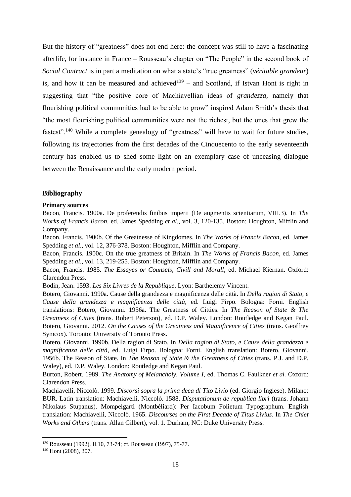But the history of "greatness" does not end here: the concept was still to have a fascinating afterlife, for instance in France – Rousseau's chapter on "The People" in the second book of *Social Contract* is in part a meditation on what a state's "true greatness" (*véritable grandeur*) is, and how it can be measured and achieved<sup>139</sup> – and Scotland, if Istvan Hont is right in suggesting that "the positive core of Machiavellian ideas of *grandezza*, namely that flourishing political communities had to be able to grow" inspired Adam Smith's thesis that "the most flourishing political communities were not the richest, but the ones that grew the fastest".<sup>140</sup> While a complete genealogy of "greatness" will have to wait for future studies, following its trajectories from the first decades of the Cinquecento to the early seventeenth century has enabled us to shed some light on an exemplary case of unceasing dialogue between the Renaissance and the early modern period.

## **Bibliography**

#### **Primary sources**

Bacon, Francis. 1900a. De proferendis finibus imperii (De augmentis scientiarum, VIII.3). In *The Works of Francis Bacon*, ed. James Spedding *et al.*, vol. 3, 120-135. Boston: Houghton, Mifflin and Company.

Bacon, Francis. 1900b. Of the Greatnesse of Kingdomes. In *The Works of Francis Bacon*, ed. James Spedding *et al.*, vol. 12, 376-378. Boston: Houghton, Mifflin and Company.

Bacon, Francis. 1900c. On the true greatness of Britain. In *The Works of Francis Bacon*, ed. James Spedding *et al.*, vol. 13, 219-255. Boston: Houghton, Mifflin and Company.

Bacon, Francis. 1985. *The Essayes or Counsels, Civill and Morall*, ed. Michael Kiernan. Oxford: Clarendon Press.

Bodin, Jean. 1593. *Les Six Livres de la Republique*. Lyon: Barthelemy Vincent.

Botero, Giovanni. 1990a. Cause della grandezza e magnificenza delle città. In *Della ragion di Stato, e Cause della grandezza e magnificenza delle città*, ed. Luigi Firpo. Bologna: Forni. English translations: Botero, Giovanni. 1956a. The Greatness of Citties. In *The Reason of State & The Greatness of Cities* (trans. Robert Peterson), ed. D.P. Waley. London: Routledge and Kegan Paul. Botero, Giovanni. 2012. *On the Causes of the Greatness and Magnificence of Cities* (trans. Geoffrey Symcox). Toronto: University of Toronto Press.

Botero, Giovanni. 1990b. Della ragion di Stato. In *Della ragion di Stato, e Cause della grandezza e magnificenza delle città*, ed. Luigi Firpo. Bologna: Forni. English translation: Botero, Giovanni. 1956b. The Reason of State. In *The Reason of State & the Greatness of Cities* (trans. P.J. and D.P. Waley), ed. D.P. Waley. London: Routledge and Kegan Paul.

Burton, Robert. 1989. *The Anatomy of Melancholy. Volume I*, ed. Thomas C. Faulkner *et al.* Oxford: Clarendon Press.

Machiavelli, Niccolò. 1999. *Discorsi sopra la prima deca di Tito Livio* (ed. Giorgio Inglese). Milano: BUR. Latin translation: Machiavelli, Niccolò. 1588. *Disputationum de republica libri* (trans. Johann Nikolaus Stupanus). Mompelgarti (Montbéliard): Per Iacobum Folietum Typographum. English translation: Machiavelli, Niccolò. 1965. *Discourses on the First Decade of Titus Livius*. In *The Chief Works and Others* (trans. Allan Gilbert), vol. 1. Durham, NC: Duke University Press.

<sup>139</sup> Rousseau (1992), II.10, 73-74; cf. Rousseau (1997), 75-77.

<sup>140</sup> Hont (2008), 307.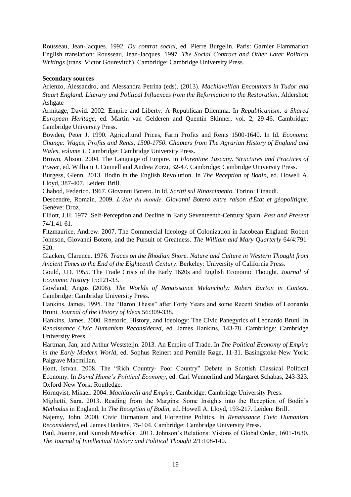Rousseau, Jean-Jacques. 1992. *Du contrat social*, ed. Pierre Burgelin. Paris: Garnier Flammarion English translation: Rousseau, Jean-Jacques. 1997. *The Social Contract and Other Later Political Writings* (trans. Victor Gourevitch). Cambridge: Cambridge University Press.

# **Secondary sources**

Arienzo, Alessandro, and Alessandra Petrina (eds). (2013). *Machiavellian Encounters in Tudor and Stuart England. Literary and Political Influences from the Reformation to the Restoration*. Aldershot: Ashgate

Armitage, David. 2002. Empire and Liberty: A Republican Dilemma. In *Republicanism: a Shared European Heritage*, ed. Martin van Gelderen and Quentin Skinner, vol. 2, 29-46. Cambridge: Cambridge University Press.

Bowden, Peter J. 1990. Agricultural Prices, Farm Profits and Rents 1500-1640. In Id. *Economic Change: Wages, Profits and Rents, 1500-1750. Chapters from The Agrarian History of England and Wales, volume 1*, Cambridge: Cambridge University Press.

Brown, Alison. 2004. The Language of Empire. In *Florentine Tuscany. Structures and Practices of Power*, ed. William J. Connell and Andrea Zorzi, 32-47. Cambridge: Cambridge University Press.

Burgess, Glenn. 2013. Bodin in the English Revolution. In *The Reception of Bodin*, ed. Howell A. Lloyd, 387-407. Leiden: Brill.

Chabod, Federico. 1967. Giovanni Botero. In Id. *Scritti sul Rinascimento*. Torino: Einaudi.

Descendre, Romain. 2009. *L'état du monde. Giovanni Botero entre raison d'État et géopolitique*. Genève: Droz.

Elliott, J.H. 1977. Self-Perception and Decline in Early Seventeenth-Century Spain. *Past and Present* 74/1:41-61.

Fitzmaurice, Andrew. 2007. The Commercial Ideology of Colonization in Jacobean England: Robert Johnson, Giovanni Botero, and the Pursuit of Greatness. *The William and Mary Quarterly* 64/4:791- 820.

Glacken, Clarence. 1976. *Traces on the Rhodian Shore. Nature and Culture in Western Thought from Ancient Times to the End of the Eighteenth Century*. Berkeley: University of California Press.

Gould, J.D. 1955. The Trade Crisis of the Early 1620s and English Economic Thought. *Journal of Economic History* 15:121-33.

Gowland, Angus (2006). *The Worlds of Renaissance Melancholy: Robert Burton in Context*. Cambridge: Cambridge University Press.

Hankins, James. 1995. The "Baron Thesis" after Forty Years and some Recent Studies of Leonardo Bruni. *Journal of the History of Ideas* 56:309-338.

Hankins, James. 2000. Rhetoric, History, and Ideology: The Civic Panegyrics of Leonardo Bruni. In *Renaissance Civic Humanism Reconsidered*, ed. James Hankins, 143-78. Cambridge: Cambridge University Press.

Hartman, Jan, and Arthur Weststeijn. 2013. An Empire of Trade. In *The Political Economy of Empire in the Early Modern World*, ed. Sophus Reinert and Pernille Røge, 11-31. Basingstoke-New York: Palgrave Macmillan.

Hont, Istvan. 2008. The "Rich Country- Poor Country" Debate in Scottish Classical Political Economy. In *David Hume's Political Economy*, ed. Carl Wennerlind and Margaret Schabas, 243-323. Oxford-New York: Routledge.

Hörnqvist, Mikael. 2004. *Machiavelli and Empire*. Cambridge: Cambridge University Press.

Miglietti, Sara. 2013. Reading from the Margins: Some Insights into the Reception of Bodin's *Methodus* in England. In *The Reception of Bodin*, ed. Howell A. Lloyd, 193-217. Leiden: Brill.

Najemy, John. 2000. Civic Humanism and Florentine Politics*.* In *Renaissance Civic Humanism Reconsidered*, ed. James Hankins, 75-104. Cambridge: Cambridge University Press.

Paul, Joanne, and Kurosh Meschkat. 2013. Johnson's Relations: Visions of Global Order, 1601-1630. *The Journal of Intellectual History and Political Thought* 2/1:108-140.